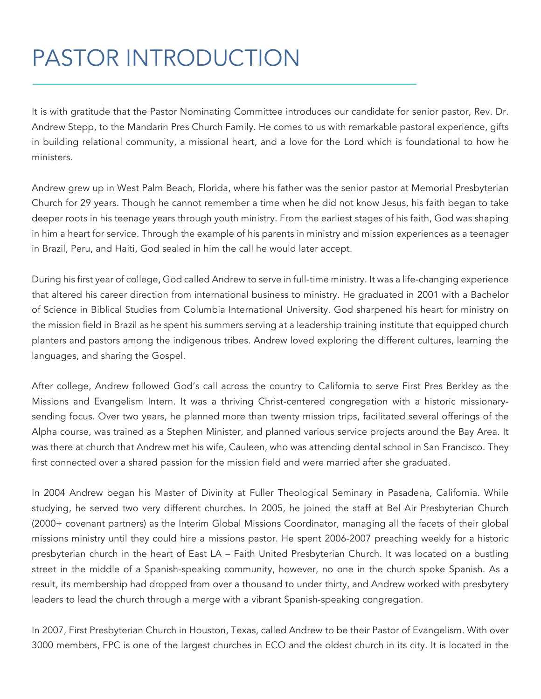## PASTOR INTRODUCTION

It is with gratitude that the Pastor Nominating Committee introduces our candidate for senior pastor, Rev. Dr. Andrew Stepp, to the Mandarin Pres Church Family. He comes to us with remarkable pastoral experience, gifts in building relational community, a missional heart, and a love for the Lord which is foundational to how he ministers.

Andrew grew up in West Palm Beach, Florida, where his father was the senior pastor at Memorial Presbyterian Church for 29 years. Though he cannot remember a time when he did not know Jesus, his faith began to take deeper roots in his teenage years through youth ministry. From the earliest stages of his faith, God was shaping in him a heart for service. Through the example of his parents in ministry and mission experiences as a teenager in Brazil, Peru, and Haiti, God sealed in him the call he would later accept.

During his first year of college, God called Andrew to serve in full-time ministry. It was a life-changing experience that altered his career direction from international business to ministry. He graduated in 2001 with a Bachelor of Science in Biblical Studies from Columbia International University. God sharpened his heart for ministry on the mission field in Brazil as he spent his summers serving at a leadership training institute that equipped church planters and pastors among the indigenous tribes. Andrew loved exploring the different cultures, learning the languages, and sharing the Gospel.

After college, Andrew followed God's call across the country to California to serve First Pres Berkley as the Missions and Evangelism Intern. It was a thriving Christ-centered congregation with a historic missionarysending focus. Over two years, he planned more than twenty mission trips, facilitated several offerings of the Alpha course, was trained as a Stephen Minister, and planned various service projects around the Bay Area. It was there at church that Andrew met his wife, Cauleen, who was attending dental school in San Francisco. They first connected over a shared passion for the mission field and were married after she graduated.

In 2004 Andrew began his Master of Divinity at Fuller Theological Seminary in Pasadena, California. While studying, he served two very different churches. In 2005, he joined the staff at Bel Air Presbyterian Church (2000+ covenant partners) as the Interim Global Missions Coordinator, managing all the facets of their global missions ministry until they could hire a missions pastor. He spent 2006-2007 preaching weekly for a historic presbyterian church in the heart of East LA – Faith United Presbyterian Church. It was located on a bustling street in the middle of a Spanish-speaking community, however, no one in the church spoke Spanish. As a result, its membership had dropped from over a thousand to under thirty, and Andrew worked with presbytery leaders to lead the church through a merge with a vibrant Spanish-speaking congregation.

In 2007, First Presbyterian Church in Houston, Texas, called Andrew to be their Pastor of Evangelism. With over 3000 members, FPC is one of the largest churches in ECO and the oldest church in its city. It is located in the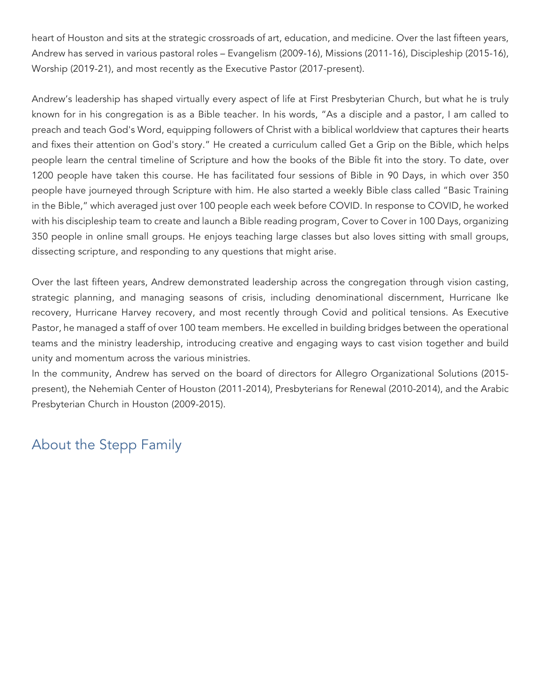heart of Houston and sits at the strategic crossroads of art, education, and medicine. Over the last fifteen years, Andrew has served in various pastoral roles – Evangelism (2009-16), Missions (2011-16), Discipleship (2015-16), Worship (2019-21), and most recently as the Executive Pastor (2017-present).

Andrew's leadership has shaped virtually every aspect of life at First Presbyterian Church, but what he is truly known for in his congregation is as a Bible teacher. In his words, "As a disciple and a pastor, I am called to preach and teach God's Word, equipping followers of Christ with a biblical worldview that captures their hearts and fixes their attention on God's story." He created a curriculum called Get a Grip on the Bible, which helps people learn the central timeline of Scripture and how the books of the Bible fit into the story. To date, over 1200 people have taken this course. He has facilitated four sessions of Bible in 90 Days, in which over 350 people have journeyed through Scripture with him. He also started a weekly Bible class called "Basic Training in the Bible," which averaged just over 100 people each week before COVID. In response to COVID, he worked with his discipleship team to create and launch a Bible reading program, Cover to Cover in 100 Days, organizing 350 people in online small groups. He enjoys teaching large classes but also loves sitting with small groups, dissecting scripture, and responding to any questions that might arise.

Over the last fifteen years, Andrew demonstrated leadership across the congregation through vision casting, strategic planning, and managing seasons of crisis, including denominational discernment, Hurricane Ike recovery, Hurricane Harvey recovery, and most recently through Covid and political tensions. As Executive Pastor, he managed a staff of over 100 team members. He excelled in building bridges between the operational teams and the ministry leadership, introducing creative and engaging ways to cast vision together and build unity and momentum across the various ministries.

In the community, Andrew has served on the board of directors for Allegro Organizational Solutions (2015 present), the Nehemiah Center of Houston (2011-2014), Presbyterians for Renewal (2010-2014), and the Arabic Presbyterian Church in Houston (2009-2015).

## About the Stepp Family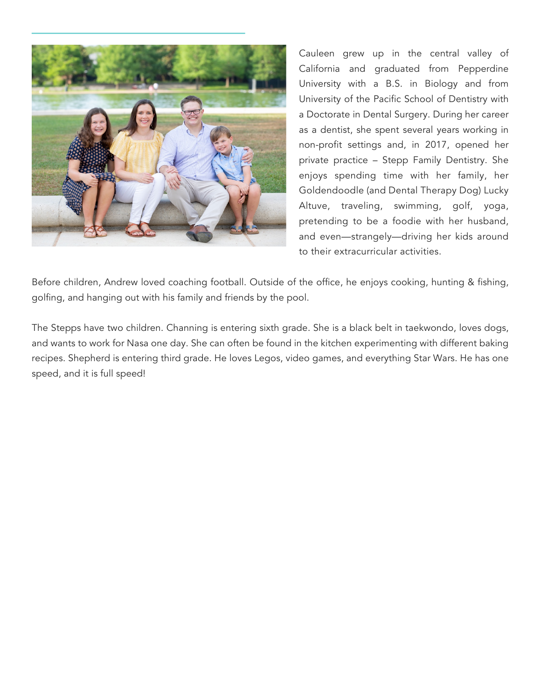

Cauleen grew up in the central valley of California and graduated from Pepperdine University with a B.S. in Biology and from University of the Pacific School of Dentistry with a Doctorate in Dental Surgery. During her career as a dentist, she spent several years working in non-profit settings and, in 2017, opened her private practice – Stepp Family Dentistry. She enjoys spending time with her family, her Goldendoodle (and Dental Therapy Dog) Lucky Altuve, traveling, swimming, golf, yoga, pretending to be a foodie with her husband, and even—strangely—driving her kids around to their extracurricular activities.

Before children, Andrew loved coaching football. Outside of the office, he enjoys cooking, hunting & fishing, golfing, and hanging out with his family and friends by the pool.

The Stepps have two children. Channing is entering sixth grade. She is a black belt in taekwondo, loves dogs, and wants to work for Nasa one day. She can often be found in the kitchen experimenting with different baking recipes. Shepherd is entering third grade. He loves Legos, video games, and everything Star Wars. He has one speed, and it is full speed!